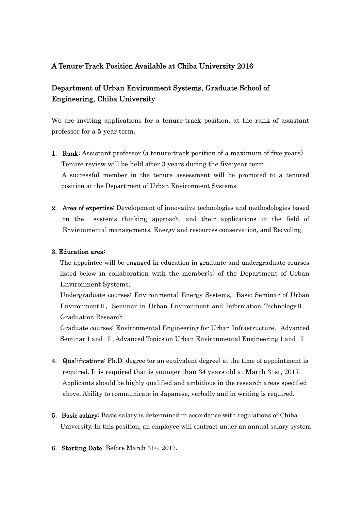# A Tenure-Track Position Available at Chiba University 2016

# Department of Urban Environment Systems, Graduate School of Engineering, Chiba University

We are inviting applications for a tenure-track position, at the rank of assistant professor for a 5-year term.

- 1. Rank: Assistant professor (a tenure-track position of a maximum of five years) Tenure review will be held after 3 years during the five-year term. A successful member in the tenure assessment will be promoted to a tenured position at the Department of Urban Environment Systems.
- 2. Area of expertise: Development of innovative technologies and methodologies based on the systems thinking approach, and their applications in the field of Environmental managements, Energy and resources conservation, and Recycling.

## 3. Education area:

The appointee will be engaged in education in graduate and undergraduate courses listed below in collaboration with the member(s) of the Department of Urban Environment Systems.

Undergraduate courses: Environmental Energy Systems, Basic Seminar of Urban EnvironmentⅡ, Seminar in Urban Environment and Information TechnologyⅡ, Graduation Research

Graduate courses: Environmental Engineering for Urban Infrastructure, Advanced Seminar I and II, Advanced Topics on Urban Environmental Engineering I and II

- 4. Qualifications: Ph.D. degree (or an equivalent degree) at the time of appointment is required. It is required that is younger than 34 years old at March 31st, 2017. Applicants should be highly qualified and ambitious in the research areas specified above. Ability to communicate in Japanese, verbally and in writing is required.
- 5. Basic salary: Basic salary is determined in accordance with regulations of Chiba University. In this position, an employee will contract under an annual salary system.
- 6.Starting Date: Before March 31st, 2017.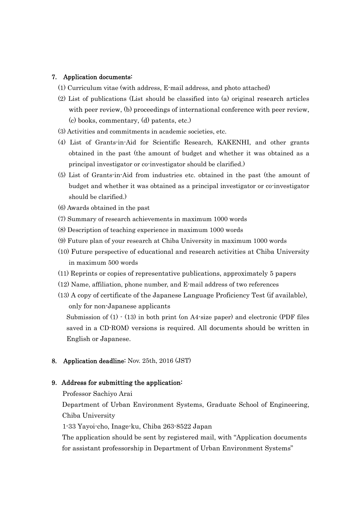#### 7. Application documents:

- (1) Curriculum vitae (with address, E-mail address, and photo attached)
- (2) List of publications (List should be classified into (a) original research articles with peer review, (b) proceedings of international conference with peer review, (c) books, commentary, (d) patents, etc.)
- (3) Activities and commitments in academic societies, etc.
- (4) List of Grants-in-Aid for Scientific Research, KAKENHI, and other grants obtained in the past (the amount of budget and whether it was obtained as a principal investigator or co-investigator should be clarified.)
- (5) List of Grants-in-Aid from industries etc. obtained in the past (the amount of budget and whether it was obtained as a principal investigator or co-investigator should be clarified.)
- (6) Awards obtained in the past
- (7) Summary of research achievements in maximum 1000 words
- (8) Description of teaching experience in maximum 1000 words
- (9) Future plan of your research at Chiba University in maximum 1000 words
- (10) Future perspective of educational and research activities at Chiba University in maximum 500 words
- (11) Reprints or copies of representative publications, approximately 5 papers
- (12) Name, affiliation, phone number, and E-mail address of two references
- (13) A copy of certificate of the Japanese Language Proficiency Test (if available), only for non-Japanese applicants

Submission of  $(1) \cdot (13)$  in both print (on A4-size paper) and electronic (PDF files saved in a CD-ROM) versions is required. All documents should be written in English or Japanese.

8. Application deadline: Nov. 25th, 2016 (JST)

#### 9. Address for submitting the application:

Professor Sachiyo Arai

Department of Urban Environment Systems, Graduate School of Engineering, Chiba University

1-33 Yayoi-cho, Inage-ku, Chiba 263-8522 Japan

The application should be sent by registered mail, with "Application documents for assistant professorship in Department of Urban Environment Systems"